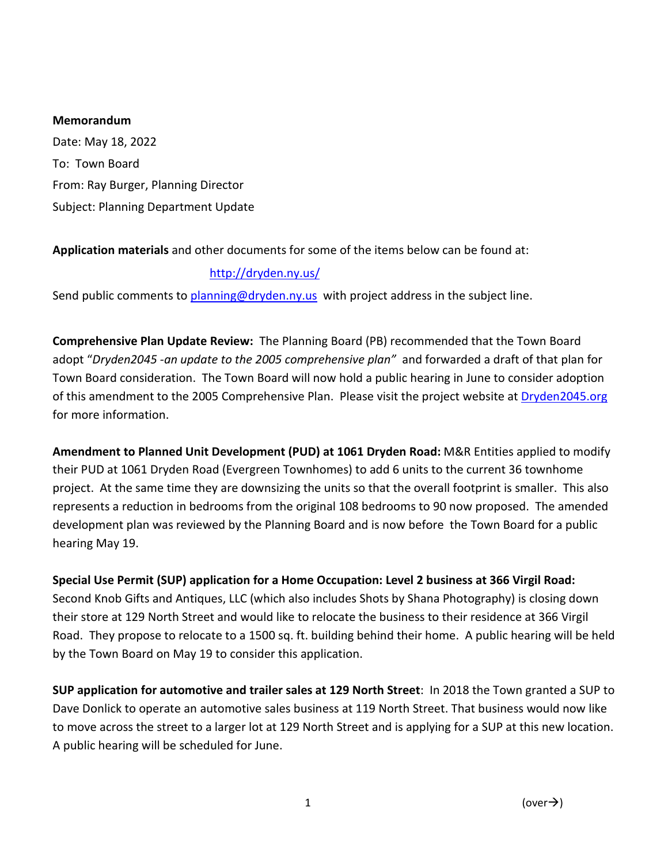### **Memorandum**

Date: May 18, 2022 To: Town Board From: Ray Burger, Planning Director Subject: Planning Department Update

# **Application materials** and other documents for some of the items below can be found at:

# <http://dryden.ny.us/>

Send public comments to [planning@dryden.ny.us](mailto:planning@dryden.ny.us) with project address in the subject line.

**Comprehensive Plan Update Review:** The Planning Board (PB) recommended that the Town Board adopt "*Dryden2045 -an update to the 2005 comprehensive plan"* and forwarded a draft of that plan for Town Board consideration. The Town Board will now hold a public hearing in June to consider adoption of this amendment to the 2005 Comprehensive Plan. Please visit the project website at Dryden2045.org for more information.

**Amendment to Planned Unit Development (PUD) at 1061 Dryden Road:** M&R Entities applied to modify their PUD at 1061 Dryden Road (Evergreen Townhomes) to add 6 units to the current 36 townhome project. At the same time they are downsizing the units so that the overall footprint is smaller. This also represents a reduction in bedrooms from the original 108 bedrooms to 90 now proposed. The amended development plan was reviewed by the Planning Board and is now before the Town Board for a public hearing May 19.

**Special Use Permit (SUP) application for a Home Occupation: Level 2 business at 366 Virgil Road:**  Second Knob Gifts and Antiques, LLC (which also includes Shots by Shana Photography) is closing down their store at 129 North Street and would like to relocate the business to their residence at 366 Virgil Road. They propose to relocate to a 1500 sq. ft. building behind their home. A public hearing will be held by the Town Board on May 19 to consider this application.

**SUP application for automotive and trailer sales at 129 North Street**: In 2018 the Town granted a SUP to Dave Donlick to operate an automotive sales business at 119 North Street. That business would now like to move across the street to a larger lot at 129 North Street and is applying for a SUP at this new location. A public hearing will be scheduled for June.